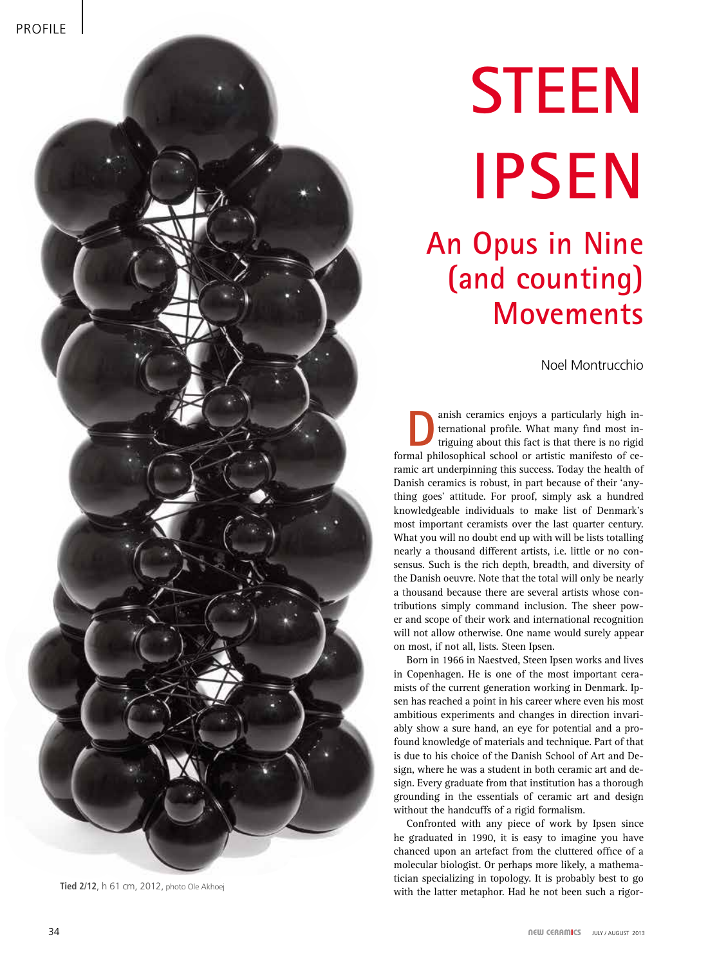

**Tied 2/12**, h 61 cm, 2012, photo Ole Akhoej

# **Steen Ipsen**

## **An Opus in Nine (and counting) Movements**

Noel Montrucchio

anish ceramics enjoys a particularly high in-<br>ternational profile. What many find most in-<br>triguing about this fact is that there is no rigid<br>mal philosophical school or artistic manifesto of ce ternational profile. What many find most informal philosophical school or artistic manifesto of ceramic art underpinning this success. Today the health of Danish ceramics is robust, in part because of their 'anything goes' attitude. For proof, simply ask a hundred knowledgeable individuals to make list of Denmark's most important ceramists over the last quarter century. What you will no doubt end up with will be lists totalling nearly a thousand different artists, i.e. little or no consensus. Such is the rich depth, breadth, and diversity of the Danish oeuvre. Note that the total will only be nearly a thousand because there are several artists whose contributions simply command inclusion. The sheer power and scope of their work and international recognition will not allow otherwise. One name would surely appear on most, if not all, lists. Steen Ipsen.

Born in 1966 in Naestved, Steen Ipsen works and lives in Copenhagen. He is one of the most important ceramists of the current generation working in Denmark. Ipsen has reached a point in his career where even his most ambitious experiments and changes in direction invariably show a sure hand, an eye for potential and a profound knowledge of materials and technique. Part of that is due to his choice of the Danish School of Art and Design, where he was a student in both ceramic art and design. Every graduate from that institution has a thorough grounding in the essentials of ceramic art and design without the handcuffs of a rigid formalism.

Confronted with any piece of work by Ipsen since he graduated in 1990, it is easy to imagine you have chanced upon an artefact from the cluttered office of a molecular biologist. Or perhaps more likely, a mathematician specializing in topology. It is probably best to go with the latter metaphor. Had he not been such a rigor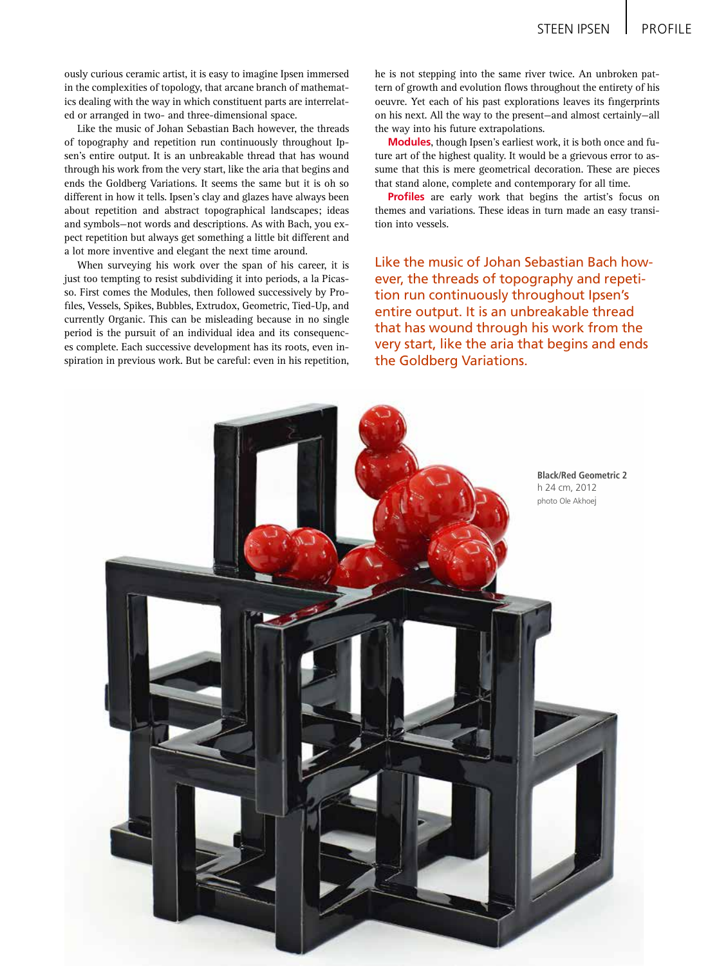ously curious ceramic artist, it is easy to imagine Ipsen immersed in the complexities of topology, that arcane branch of mathematics dealing with the way in which constituent parts are interrelated or arranged in two- and three-dimensional space.

Like the music of Johan Sebastian Bach however, the threads of topography and repetition run continuously throughout Ipsen's entire output. It is an unbreakable thread that has wound through his work from the very start, like the aria that begins and ends the Goldberg Variations. It seems the same but it is oh so different in how it tells. Ipsen's clay and glazes have always been about repetition and abstract topographical landscapes; ideas and symbols—not words and descriptions. As with Bach, you expect repetition but always get something a little bit different and a lot more inventive and elegant the next time around.

When surveying his work over the span of his career, it is just too tempting to resist subdividing it into periods, a la Picasso. First comes the Modules, then followed successively by Profiles, Vessels, Spikes, Bubbles, Extrudox, Geometric, Tied-Up, and currently Organic. This can be misleading because in no single period is the pursuit of an individual idea and its consequences complete. Each successive development has its roots, even inspiration in previous work. But be careful: even in his repetition,

he is not stepping into the same river twice. An unbroken pattern of growth and evolution flows throughout the entirety of his oeuvre. Yet each of his past explorations leaves its fingerprints on his next. All the way to the present—and almost certainly—all the way into his future extrapolations.

**Modules**, though Ipsen's earliest work, it is both once and future art of the highest quality. It would be a grievous error to assume that this is mere geometrical decoration. These are pieces that stand alone, complete and contemporary for all time.

**Profiles** are early work that begins the artist's focus on themes and variations. These ideas in turn made an easy transition into vessels.

Like the music of Johan Sebastian Bach however, the threads of topography and repetition run continuously throughout Ipsen's entire output. It is an unbreakable thread that has wound through his work from the very start, like the aria that begins and ends the Goldberg Variations.

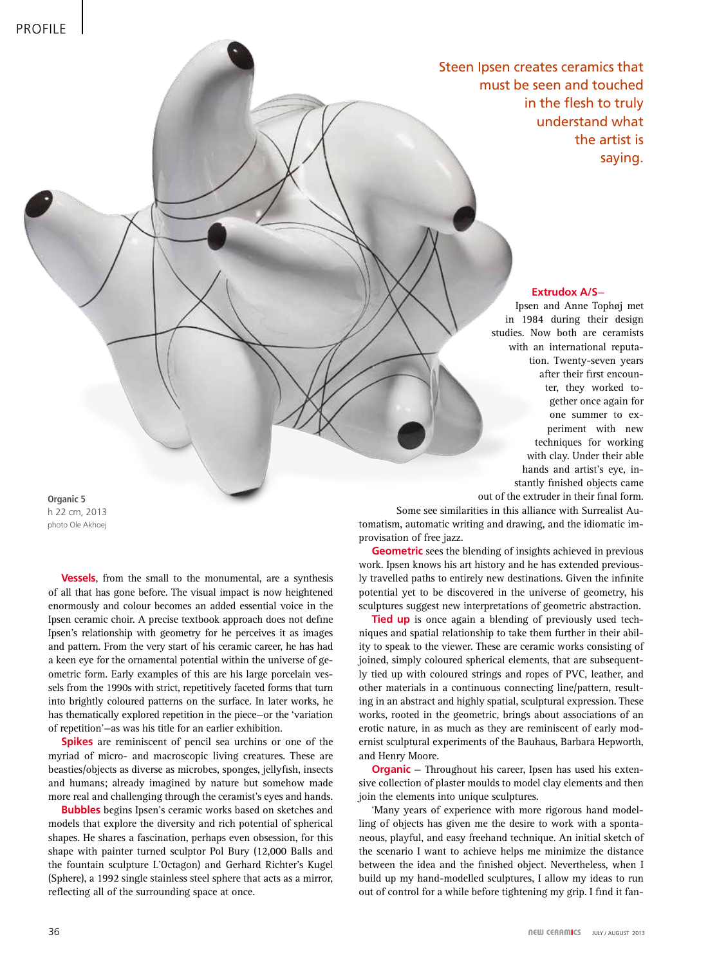Steen Ipsen creates ceramics that must be seen and touched in the flesh to truly understand what the artist is saying.

### **Extrudox A/S**—

Ipsen and Anne Tophøj met in 1984 during their design studies. Now both are ceramists with an international reputation. Twenty-seven years after their first encounter, they worked together once again for one summer to experiment with new techniques for working with clay. Under their able hands and artist's eye, instantly finished objects came out of the extruder in their final form.

**Organic 5** h 22 cm, 2013 photo Ole Akhoej

> **Vessels**, from the small to the monumental, are a synthesis of all that has gone before. The visual impact is now heightened enormously and colour becomes an added essential voice in the Ipsen ceramic choir. A precise textbook approach does not define Ipsen's relationship with geometry for he perceives it as images and pattern. From the very start of his ceramic career, he has had a keen eye for the ornamental potential within the universe of geometric form. Early examples of this are his large porcelain vessels from the 1990s with strict, repetitively faceted forms that turn into brightly coloured patterns on the surface. In later works, he has thematically explored repetition in the piece—or the 'variation of repetition'—as was his title for an earlier exhibition.

> **Spikes** are reminiscent of pencil sea urchins or one of the myriad of micro- and macroscopic living creatures. These are beasties/objects as diverse as microbes, sponges, jellyfish, insects and humans; already imagined by nature but somehow made more real and challenging through the ceramist's eyes and hands.

> **Bubbles** begins Ipsen's ceramic works based on sketches and models that explore the diversity and rich potential of spherical shapes. He shares a fascination, perhaps even obsession, for this shape with painter turned sculptor Pol Bury (12,000 Balls and the fountain sculpture L'Octagon) and Gerhard Richter's Kugel (Sphere), a 1992 single stainless steel sphere that acts as a mirror, reflecting all of the surrounding space at once.

Some see similarities in this alliance with Surrealist Automatism, automatic writing and drawing, and the idiomatic improvisation of free jazz.

**Geometric** sees the blending of insights achieved in previous work. Ipsen knows his art history and he has extended previously travelled paths to entirely new destinations. Given the infinite potential yet to be discovered in the universe of geometry, his sculptures suggest new interpretations of geometric abstraction.

**Tied up** is once again a blending of previously used techniques and spatial relationship to take them further in their ability to speak to the viewer. These are ceramic works consisting of joined, simply coloured spherical elements, that are subsequently tied up with coloured strings and ropes of PVC, leather, and other materials in a continuous connecting line/pattern, resulting in an abstract and highly spatial, sculptural expression. These works, rooted in the geometric, brings about associations of an erotic nature, in as much as they are reminiscent of early modernist sculptural experiments of the Bauhaus, Barbara Hepworth, and Henry Moore.

**Organic** – Throughout his career, Ipsen has used his extensive collection of plaster moulds to model clay elements and then join the elements into unique sculptures.

'Many years of experience with more rigorous hand modelling of objects has given me the desire to work with a spontaneous, playful, and easy freehand technique. An initial sketch of the scenario I want to achieve helps me minimize the distance between the idea and the finished object. Nevertheless, when I build up my hand-modelled sculptures, I allow my ideas to run out of control for a while before tightening my grip. I find it fan